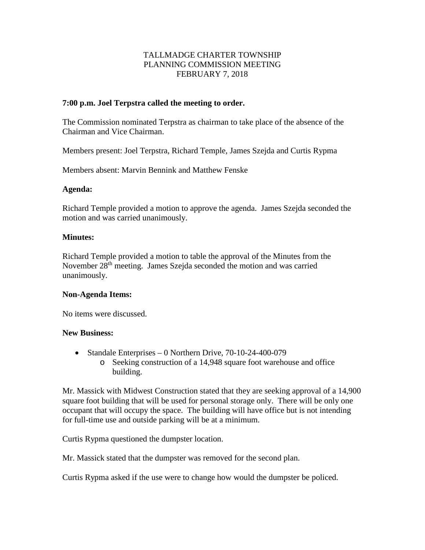# TALLMADGE CHARTER TOWNSHIP PLANNING COMMISSION MEETING FEBRUARY 7, 2018

### **7:00 p.m. Joel Terpstra called the meeting to order.**

The Commission nominated Terpstra as chairman to take place of the absence of the Chairman and Vice Chairman.

Members present: Joel Terpstra, Richard Temple, James Szejda and Curtis Rypma

Members absent: Marvin Bennink and Matthew Fenske

#### **Agenda:**

Richard Temple provided a motion to approve the agenda. James Szejda seconded the motion and was carried unanimously.

#### **Minutes:**

Richard Temple provided a motion to table the approval of the Minutes from the November 28<sup>th</sup> meeting. James Szejda seconded the motion and was carried unanimously.

#### **Non-Agenda Items:**

No items were discussed.

#### **New Business:**

- Standale Enterprises 0 Northern Drive, 70-10-24-400-079
	- o Seeking construction of a 14,948 square foot warehouse and office building.

Mr. Massick with Midwest Construction stated that they are seeking approval of a 14,900 square foot building that will be used for personal storage only. There will be only one occupant that will occupy the space. The building will have office but is not intending for full-time use and outside parking will be at a minimum.

Curtis Rypma questioned the dumpster location.

Mr. Massick stated that the dumpster was removed for the second plan.

Curtis Rypma asked if the use were to change how would the dumpster be policed.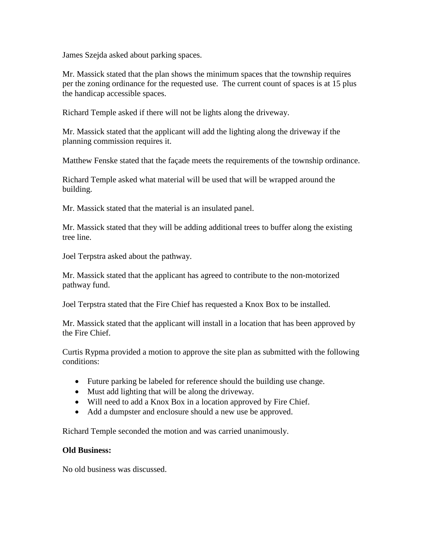James Szejda asked about parking spaces.

Mr. Massick stated that the plan shows the minimum spaces that the township requires per the zoning ordinance for the requested use. The current count of spaces is at 15 plus the handicap accessible spaces.

Richard Temple asked if there will not be lights along the driveway.

Mr. Massick stated that the applicant will add the lighting along the driveway if the planning commission requires it.

Matthew Fenske stated that the façade meets the requirements of the township ordinance.

Richard Temple asked what material will be used that will be wrapped around the building.

Mr. Massick stated that the material is an insulated panel.

Mr. Massick stated that they will be adding additional trees to buffer along the existing tree line.

Joel Terpstra asked about the pathway.

Mr. Massick stated that the applicant has agreed to contribute to the non-motorized pathway fund.

Joel Terpstra stated that the Fire Chief has requested a Knox Box to be installed.

Mr. Massick stated that the applicant will install in a location that has been approved by the Fire Chief.

Curtis Rypma provided a motion to approve the site plan as submitted with the following conditions:

- Future parking be labeled for reference should the building use change.
- Must add lighting that will be along the driveway.
- Will need to add a Knox Box in a location approved by Fire Chief.
- Add a dumpster and enclosure should a new use be approved.

Richard Temple seconded the motion and was carried unanimously.

#### **Old Business:**

No old business was discussed.